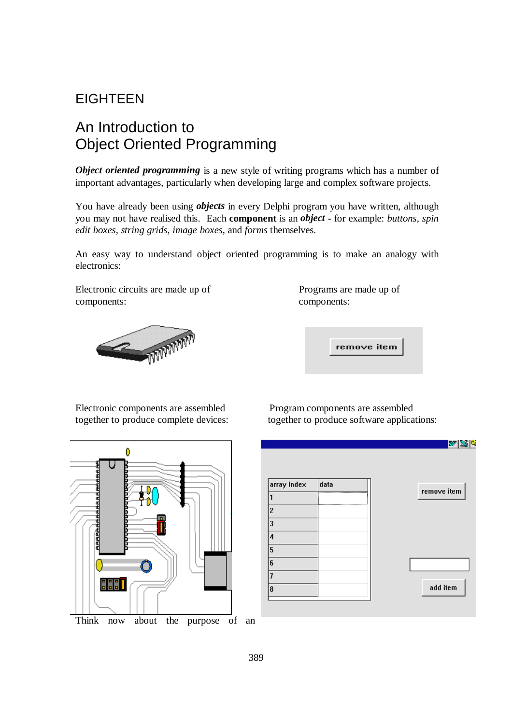## EIGHTEEN

## An Introduction to Object Oriented Programming

*Object oriented programming* is a new style of writing programs which has a number of important advantages, particularly when developing large and complex software projects.

You have already been using *objects* in every Delphi program you have written, although you may not have realised this. Each **component** is an *object* - for example: *buttons*, *spin edit boxes, string grids*, *image boxes*, and *forms* themselves.

An easy way to understand object oriented programming is to make an analogy with electronics:

Electronic circuits are made up of components: components:



| Programs are made up of |  |
|-------------------------|--|
| components:             |  |

remove item

Electronic components are assembled Program components are assembled



together to produce complete devices: together to produce software applications:

|                         |      | $ \boldsymbol{w} \!\!\leqslant\!\!\leqslant\! 1$ q |
|-------------------------|------|----------------------------------------------------|
|                         |      |                                                    |
|                         |      |                                                    |
| array index             | data | remove item                                        |
|                         |      |                                                    |
| $\overline{\mathbf{c}}$ |      |                                                    |
| $\overline{\mathbf{3}}$ |      |                                                    |
| 4                       |      |                                                    |
| 5                       |      |                                                    |
| 6                       |      |                                                    |
| 7                       |      |                                                    |
| 8                       |      | add item                                           |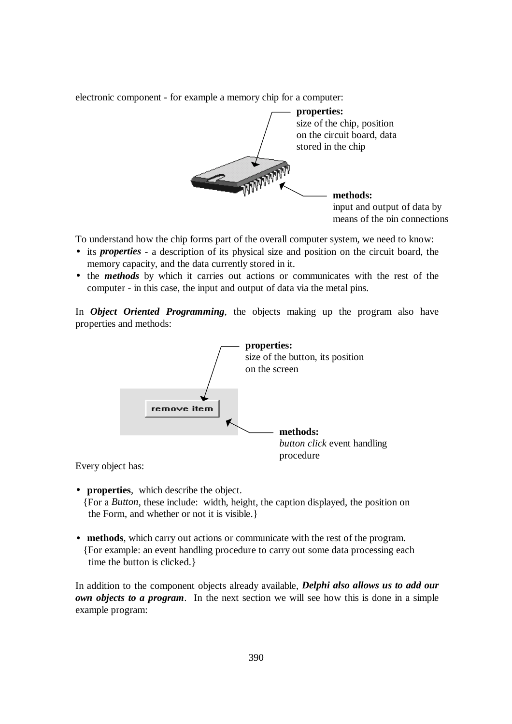electronic component - for example a memory chip for a computer:



To understand how the chip forms part of the overall computer system, we need to know:

- its *properties* a description of its physical size and position on the circuit board, the memory capacity, and the data currently stored in it.
- the *methods* by which it carries out actions or communicates with the rest of the computer - in this case, the input and output of data via the metal pins.

In *Object Oriented Programming*, the objects making up the program also have properties and methods:



Every object has:

- **properties**, which describe the object. {For a *Button*, these include: width, height, the caption displayed, the position on the Form, and whether or not it is visible.}
- **methods**, which carry out actions or communicate with the rest of the program. {For example: an event handling procedure to carry out some data processing each time the button is clicked.}

In addition to the component objects already available, *Delphi also allows us to add our own objects to a program*. In the next section we will see how this is done in a simple example program: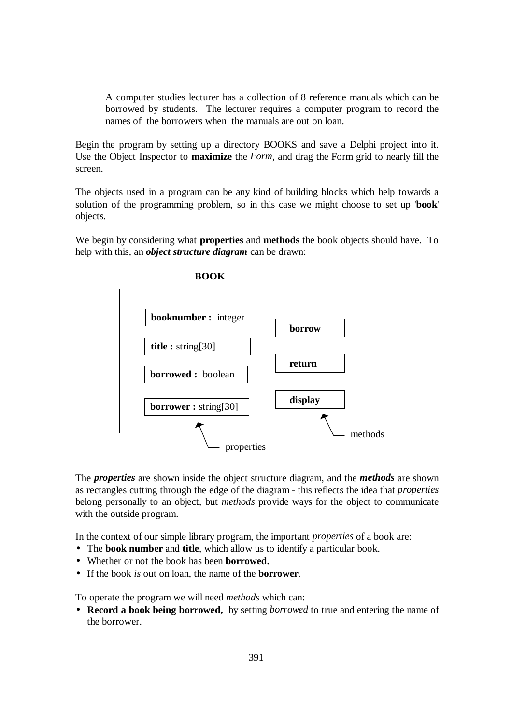A computer studies lecturer has a collection of 8 reference manuals which can be borrowed by students. The lecturer requires a computer program to record the names of the borrowers when the manuals are out on loan.

Begin the program by setting up a directory BOOKS and save a Delphi project into it. Use the Object Inspector to **maximize** the *Form*, and drag the Form grid to nearly fill the screen.

The objects used in a program can be any kind of building blocks which help towards a solution of the programming problem, so in this case we might choose to set up '**book**' objects.

We begin by considering what **properties** and **methods** the book objects should have. To help with this, an *object structure diagram* can be drawn:



**BOOK** 

The *properties* are shown inside the object structure diagram, and the *methods* are shown as rectangles cutting through the edge of the diagram - this reflects the idea that *properties* belong personally to an object, but *methods* provide ways for the object to communicate with the outside program.

In the context of our simple library program, the important *properties* of a book are:

- The **book number** and **title**, which allow us to identify a particular book.
- Whether or not the book has been **borrowed.**
- If the book *is* out on loan, the name of the **borrower**.

To operate the program we will need *methods* which can:

• **Record a book being borrowed,** by setting *borrowed* to true and entering the name of the borrower.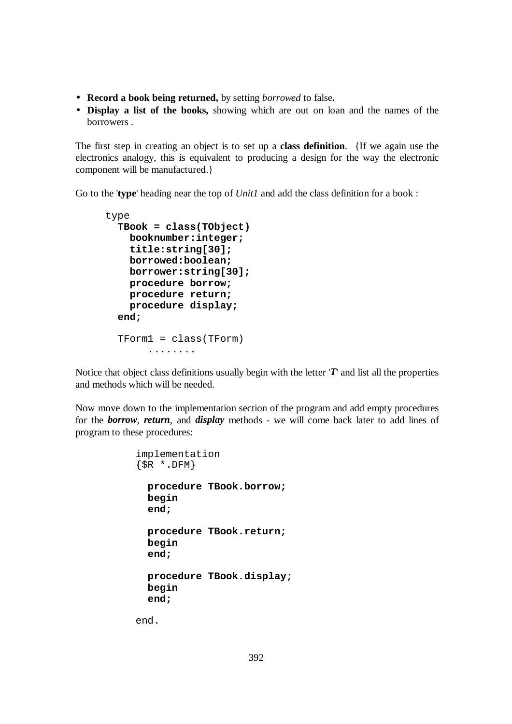- **Record a book being returned,** by setting *borrowed* to false**.**
- **Display a list of the books,** showing which are out on loan and the names of the borrowers .

The first step in creating an object is to set up a **class definition**. {If we again use the electronics analogy, this is equivalent to producing a design for the way the electronic component will be manufactured.}

Go to the '**type**' heading near the top of *Unit1* and add the class definition for a book :

```
type 
   TBook = class(TObject) 
     booknumber:integer; 
     title:string[30]; 
     borrowed:boolean; 
     borrower:string[30]; 
     procedure borrow; 
     procedure return; 
     procedure display; 
   end; 
   TForm1 = class(TForm) 
         ........
```
Notice that object class definitions usually begin with the letter '*T*' and list all the properties and methods which will be needed.

Now move down to the implementation section of the program and add empty procedures for the *borrow*, *return*, and *display* methods - we will come back later to add lines of program to these procedures:

```
implementation 
\{SR * .DFM\} procedure TBook.borrow; 
   begin 
   end; 
   procedure TBook.return; 
   begin 
   end; 
   procedure TBook.display; 
   begin 
   end;
```
end.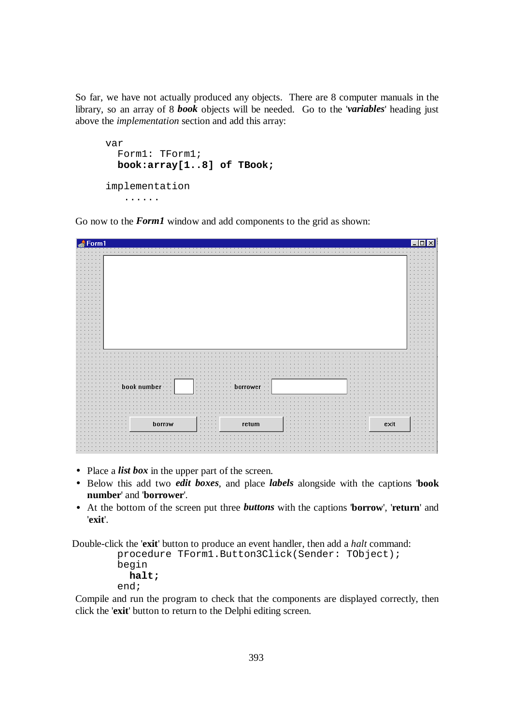So far, we have not actually produced any objects. There are 8 computer manuals in the library, so an array of 8 *book* objects will be needed. Go to the '*variables*' heading just above the *implementation* section and add this array:

```
var 
   Form1: TForm1; 
   book:array[1..8] of TBook; 
implementation 
    ......
```
Go now to the *Form1* window and add components to the grid as shown:

|                      |          |                                        |              |      |                       | $\times$                                       |
|----------------------|----------|----------------------------------------|--------------|------|-----------------------|------------------------------------------------|
| $\triangle$ Form1    |          |                                        |              |      |                       |                                                |
|                      |          |                                        |              |      |                       |                                                |
|                      |          |                                        |              |      |                       |                                                |
| $\sim$               |          |                                        |              |      |                       | $\cdot$ $\cdot$<br>$\cdots$                    |
| $\cdots$<br>$\cdots$ |          |                                        |              |      |                       | $\sim$<br>$\sim$                               |
|                      |          |                                        |              |      |                       | $\cdots$                                       |
| ×.<br>×.             |          |                                        |              |      |                       | $\sim$<br>$\sim$<br>$\sim$                     |
|                      |          |                                        |              |      |                       |                                                |
| $\mathbf{r}$         |          |                                        |              |      |                       | $\sim$                                         |
| $\sim$               |          |                                        |              |      |                       | $\cdots$<br>$\cdots$                           |
| ×.                   |          |                                        |              |      |                       | $\cdots$<br>$\sim$                             |
|                      |          |                                        |              |      |                       | $\cdots$                                       |
| ٠                    |          |                                        |              |      |                       | $\sim$                                         |
|                      |          |                                        |              |      |                       | $\cdots$<br>$\sim$                             |
| $\sim$               |          |                                        |              |      |                       | $\cdots$<br>$\sim$<br>$\cdots$<br>$\mathbf{r}$ |
| $\sim$               |          |                                        |              |      |                       | $\cdots$<br>$\cdots$                           |
| ٠                    |          |                                        |              |      |                       | $\sim$<br>$\sim$<br>$\mathbf{r}$               |
|                      |          |                                        |              |      |                       | $\cdots$                                       |
| $\sim$               |          |                                        |              |      |                       | $\cdots$                                       |
| $\sim$<br>$\cdot$    |          |                                        |              |      |                       | $\cdots$<br>$\cdot$ $\cdot$                    |
| in 1                 |          |                                        |              |      |                       | $\cdots$                                       |
| $\sim$<br>. .        |          |                                        |              |      |                       | $\cdots$                                       |
| $\cdots$             |          |                                        |              |      |                       | $\cdots$<br>$\cdots$                           |
|                      |          |                                        |              |      |                       | $\overline{\phantom{a}}$                       |
|                      |          |                                        |              |      |                       |                                                |
|                      |          |                                        |              |      |                       |                                                |
|                      |          |                                        |              |      |                       |                                                |
|                      |          |                                        |              |      |                       |                                                |
|                      |          |                                        |              |      |                       |                                                |
|                      |          |                                        |              |      |                       |                                                |
|                      |          |                                        |              |      |                       |                                                |
|                      |          |                                        |              |      |                       |                                                |
|                      | $\cdots$ | $\sim$                                 | $\sim$       |      |                       |                                                |
| book number          | $\sim$   | $\sim$                                 | borrower · · |      | $\blacksquare$        |                                                |
|                      |          | $\cdot$                                |              |      |                       |                                                |
|                      |          |                                        |              |      |                       |                                                |
|                      |          |                                        |              |      |                       |                                                |
|                      |          |                                        |              |      |                       |                                                |
|                      |          |                                        |              |      |                       |                                                |
|                      |          |                                        |              |      |                       |                                                |
|                      |          |                                        |              |      |                       | $\overline{a}$                                 |
|                      |          | $\cdots \cdots \cdots$                 |              | in 1 | $\cdot$ $\cdot$       |                                                |
|                      | borrow   | $\alpha$ , and $\alpha$ , and $\alpha$ | return       | ×.   | exit<br>$\sim$ $\sim$ | $\sim$                                         |
|                      |          | .                                      |              |      |                       |                                                |
|                      |          |                                        |              |      |                       |                                                |
|                      |          |                                        |              |      |                       |                                                |
|                      |          |                                        |              |      |                       |                                                |
|                      |          |                                        |              |      |                       |                                                |
|                      |          |                                        |              |      |                       |                                                |

- Place a *list box* in the upper part of the screen.
- Below this add two *edit boxes*, and place *labels* alongside with the captions '**book number**' and '**borrower**'.
- At the bottom of the screen put three *buttons* with the captions '**borrow**', '**return**' and '**exit**'.

Double-click the '**exit**' button to produce an event handler, then add a *halt* command:

procedure TForm1.Button3Click(Sender: TObject); begin **halt;**  end;

Compile and run the program to check that the components are displayed correctly, then click the '**exit**' button to return to the Delphi editing screen.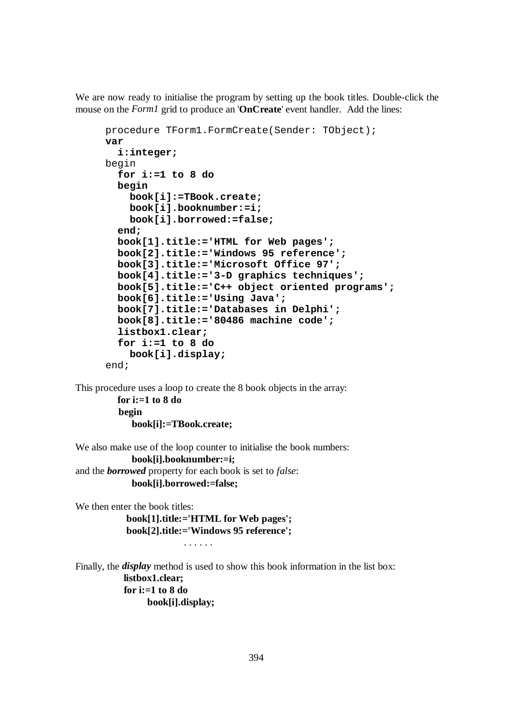We are now ready to initialise the program by setting up the book titles. Double-click the mouse on the *Form1* grid to produce an '**OnCreate**' event handler. Add the lines:

```
procedure TForm1.FormCreate(Sender: TObject); 
var 
   i:integer; 
begin 
   for i:=1 to 8 do 
   begin 
     book[i]:=TBook.create; 
     book[i].booknumber:=i; 
     book[i].borrowed:=false; 
   end; 
   book[1].title:='HTML for Web pages'; 
   book[2].title:='Windows 95 reference'; 
   book[3].title:='Microsoft Office 97'; 
   book[4].title:='3-D graphics techniques'; 
   book[5].title:='C++ object oriented programs'; 
   book[6].title:='Using Java'; 
   book[7].title:='Databases in Delphi'; 
   book[8].title:='80486 machine code'; 
   listbox1.clear; 
   for i:=1 to 8 do 
     book[i].display; 
end;
```
This procedure uses a loop to create the 8 book objects in the array: **for i:=1 to 8 do** 

> **begin book[i]:=TBook.create;**

We also make use of the loop counter to initialise the book numbers:  **book[i].booknumber:=i;**  and the *borrowed* property for each book is set to *false*:  **book[i].borrowed:=false;** 

We then enter the book titles:

 **book[1].title:='HTML for Web pages'; book[2].title:='Windows 95 reference';** 

. . . . . .

Finally, the *display* method is used to show this book information in the list box:  **listbox1.clear; for i:=1 to 8 do book[i].display;**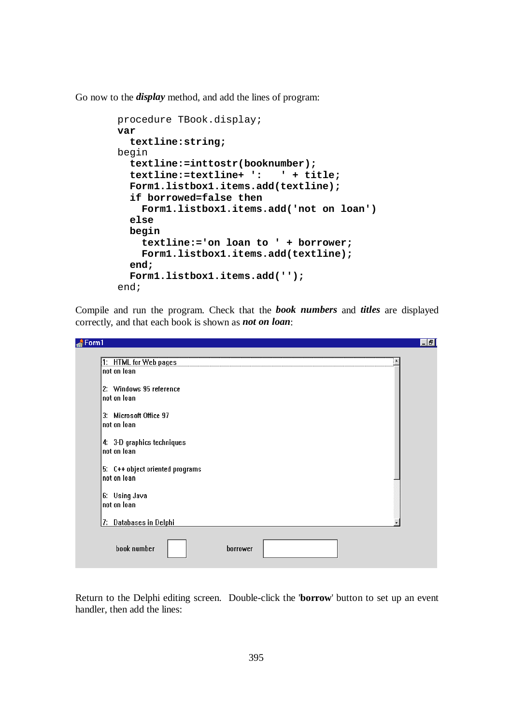Go now to the *display* method, and add the lines of program:

```
 procedure TBook.display; 
 var 
   textline:string; 
 begin 
   textline:=inttostr(booknumber); 
   textline:=textline+ ': ' + title; 
   Form1.listbox1.items.add(textline); 
   if borrowed=false then 
     Form1.listbox1.items.add('not on loan') 
   else 
   begin 
     textline:='on loan to ' + borrower; 
     Form1.listbox1.items.add(textline); 
   end; 
   Form1.listbox1.items.add(''); 
 end;
```
Compile and run the program. Check that the *book numbers* and *titles* are displayed correctly, and that each book is shown as *not on loan*:

—

| 1: HTML for Web pages<br>not on Ioan  |  |  |
|---------------------------------------|--|--|
|                                       |  |  |
| 2: Windows 95 reference               |  |  |
| not on Ioan                           |  |  |
|                                       |  |  |
| 3: Microsoft Office 97<br>not on Ioan |  |  |
|                                       |  |  |
| 4: 3-D graphics techniques            |  |  |
| Inot on Ioan                          |  |  |
|                                       |  |  |
| 5: C++ object oriented programs       |  |  |
| Inot on Ioan                          |  |  |
| 6: Using Java                         |  |  |
| Inot on Ioan                          |  |  |
|                                       |  |  |
| 7: Databases in Delphi                |  |  |
|                                       |  |  |
| book number                           |  |  |

Return to the Delphi editing screen. Double-click the '**borrow**' button to set up an event handler, then add the lines: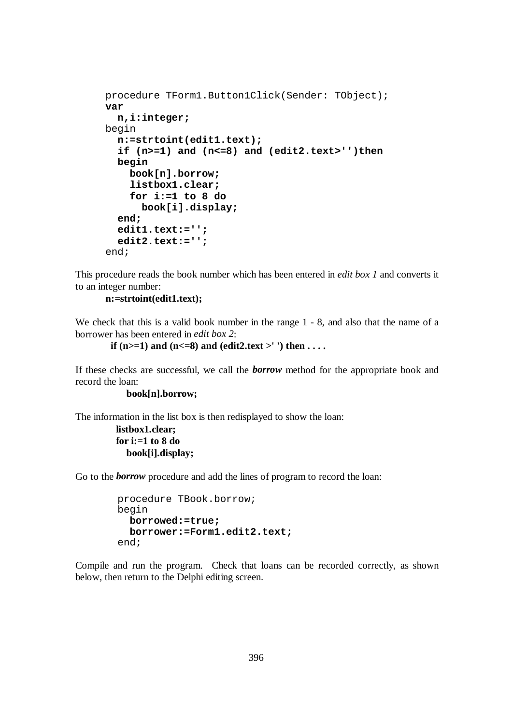```
procedure TForm1.Button1Click(Sender: TObject); 
var 
   n,i:integer; 
begin 
   n:=strtoint(edit1.text); 
   if (n>=1) and (n<=8) and (edit2.text>'')then 
   begin 
     book[n].borrow; 
     listbox1.clear; 
     for i:=1 to 8 do 
       book[i].display; 
   end; 
   edit1.text:=''; 
   edit2.text:=''; 
end;
```
This procedure reads the book number which has been entered in *edit box 1* and converts it to an integer number:

**n:=strtoint(edit1.text);** 

We check that this is a valid book number in the range  $1 - 8$ , and also that the name of a borrower has been entered in *edit box 2*:

```
if (n>=1) and (n<=8) and (edit2.text >'') then \dots
```
If these checks are successful, we call the *borrow* method for the appropriate book and record the loan:

 **book[n].borrow;** 

The information in the list box is then redisplayed to show the loan:

```
 listbox1.clear; 
 for i:=1 to 8 do 
    book[i].display;
```
Go to the *borrow* procedure and add the lines of program to record the loan:

```
 procedure TBook.borrow; 
 begin 
   borrowed:=true; 
   borrower:=Form1.edit2.text; 
 end;
```
Compile and run the program. Check that loans can be recorded correctly, as shown below, then return to the Delphi editing screen.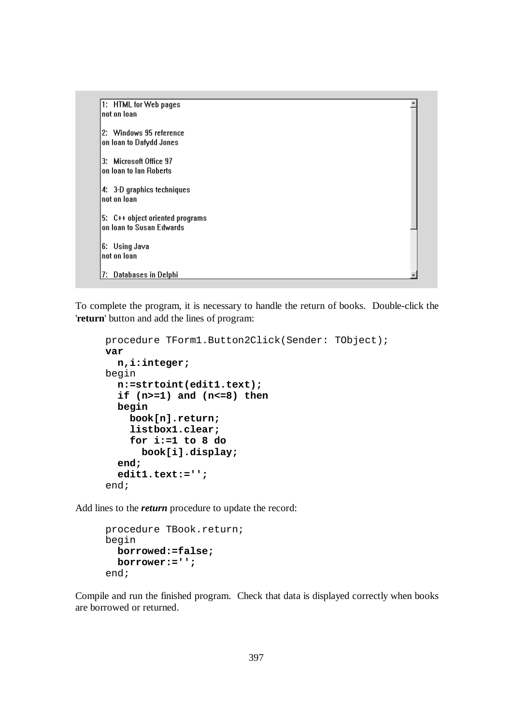1: HTML for Web pages not on Ioan 2: Windows 95 reference on loan to Dafydd Jones 3: Microsoft Office 97 on loan to lan Roberts 4: 3-D graphics techniques not on loan 5: C++ object oriented programs on Ioan to Susan Edwards 6: Using Java not on Ioan 7: Databases in Delphi

۸

To complete the program, it is necessary to handle the return of books. Double-click the '**return**' button and add the lines of program:

```
procedure TForm1.Button2Click(Sender: TObject); 
var 
   n,i:integer; 
begin 
   n:=strtoint(edit1.text); 
   if (n>=1) and (n<=8) then 
   begin 
     book[n].return; 
     listbox1.clear; 
     for i:=1 to 8 do 
        book[i].display; 
   end; 
   edit1.text:=''; 
end;
```
Add lines to the *return* procedure to update the record:

```
procedure TBook.return; 
begin 
   borrowed:=false; 
   borrower:=''; 
end;
```
Compile and run the finished program. Check that data is displayed correctly when books are borrowed or returned.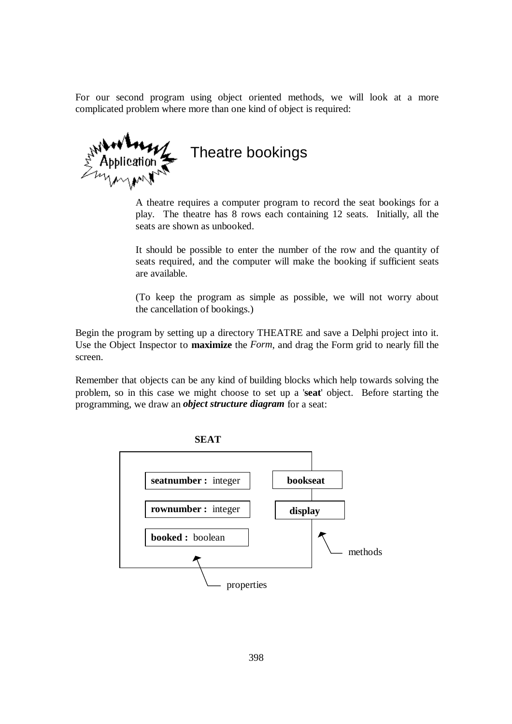For our second program using object oriented methods, we will look at a more complicated problem where more than one kind of object is required:

Theatre bookings

A theatre requires a computer program to record the seat bookings for a play. The theatre has 8 rows each containing 12 seats. Initially, all the seats are shown as unbooked.

It should be possible to enter the number of the row and the quantity of seats required, and the computer will make the booking if sufficient seats are available.

(To keep the program as simple as possible, we will not worry about the cancellation of bookings.)

Begin the program by setting up a directory THEATRE and save a Delphi project into it. Use the Object Inspector to **maximize** the *Form*, and drag the Form grid to nearly fill the screen.

Remember that objects can be any kind of building blocks which help towards solving the problem, so in this case we might choose to set up a '**seat**' object. Before starting the programming, we draw an *object structure diagram* for a seat:

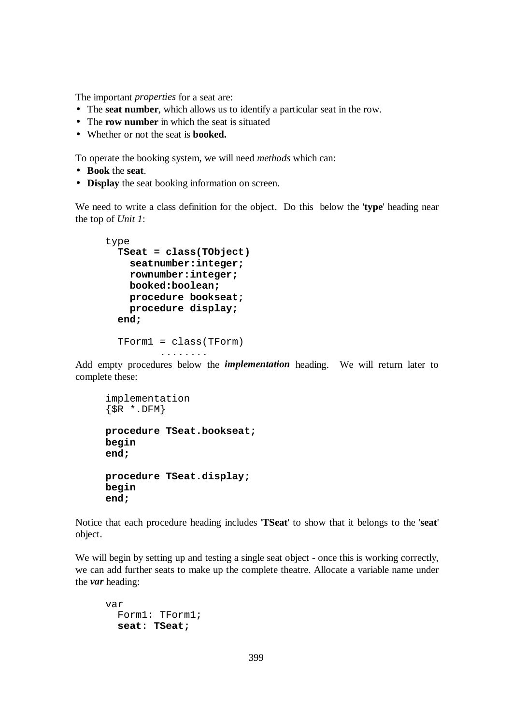The important *properties* for a seat are:

- The **seat number**, which allows us to identify a particular seat in the row.
- The **row number** in which the seat is situated
- Whether or not the seat is **booked.**

To operate the booking system, we will need *methods* which can:

- **Book** the **seat**.
- **Display** the seat booking information on screen.

We need to write a class definition for the object. Do this below the '**type**' heading near the top of *Unit 1*:

```
type 
   TSeat = class(TObject) 
     seatnumber:integer; 
     rownumber:integer; 
     booked:boolean; 
     procedure bookseat; 
     procedure display; 
   end; 
   TForm1 = class(TForm) 
           ........
```
Add empty procedures below the *implementation* heading. We will return later to complete these:

```
implementation 
\{SR * .DFM\}procedure TSeat.bookseat; 
begin 
end; 
procedure TSeat.display; 
begin 
end;
```
Notice that each procedure heading includes '**TSeat**' to show that it belongs to the '**seat**' object.

We will begin by setting up and testing a single seat object - once this is working correctly, we can add further seats to make up the complete theatre. Allocate a variable name under the *var* heading:

```
var 
   Form1: TForm1; 
   seat: TSeat;
```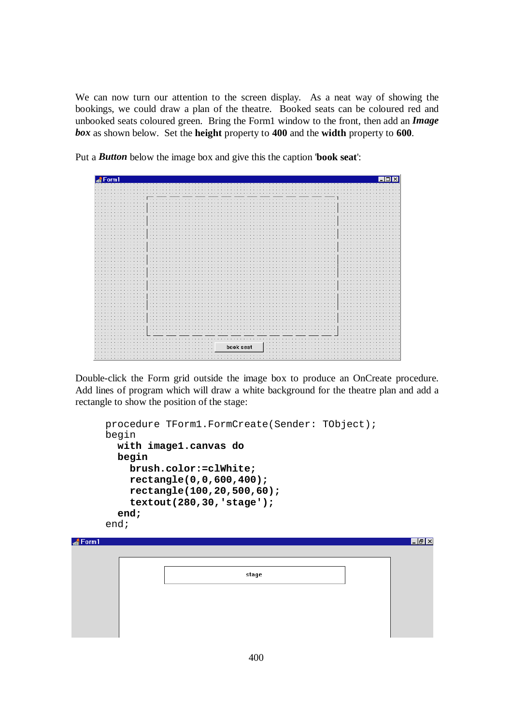We can now turn our attention to the screen display. As a neat way of showing the bookings, we could draw a plan of the theatre. Booked seats can be coloured red and unbooked seats coloured green. Bring the Form1 window to the front, then add an *Image box* as shown below. Set the **height** property to **400** and the **width** property to **600**.

Put a *Button* below the image box and give this the caption '**book seat**':



Double-click the Form grid outside the image box to produce an OnCreate procedure. Add lines of program which will draw a white background for the theatre plan and add a rectangle to show the position of the stage:

```
procedure TForm1.FormCreate(Sender: TObject); 
      begin 
         with image1.canvas do 
         begin 
            brush.color:=clWhite; 
            rectangle(0,0,600,400); 
            rectangle(100,20,500,60); 
            textout(280,30,'stage'); 
         end; 
      end; \triangle Form 1
                                  stage
```
 $-15$   $\times$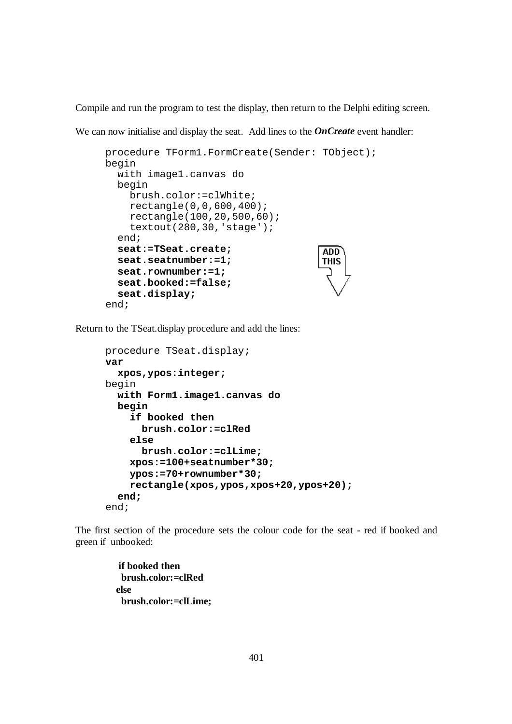Compile and run the program to test the display, then return to the Delphi editing screen.

We can now initialise and display the seat. Add lines to the **OnCreate** event handler:

```
procedure TForm1.FormCreate(Sender: TObject); 
begin 
   with image1.canvas do 
   begin 
     brush.color:=clWhite; 
     rectangle(0,0,600,400); 
     rectangle(100,20,500,60); 
     textout(280,30,'stage'); 
   end; 
   seat:=TSeat.create; 
                                          ADD<sup>-</sup>
   seat.seatnumber:=1; 
                                          THIS
   seat.rownumber:=1; 
   seat.booked:=false; 
   seat.display; 
end;
```
Return to the TSeat.display procedure and add the lines:

```
procedure TSeat.display; 
var 
   xpos,ypos:integer; 
begin 
   with Form1.image1.canvas do 
   begin 
     if booked then 
       brush.color:=clRed 
     else 
       brush.color:=clLime; 
     xpos:=100+seatnumber*30; 
     ypos:=70+rownumber*30; 
     rectangle(xpos,ypos,xpos+20,ypos+20); 
   end; 
end;
```
The first section of the procedure sets the colour code for the seat - red if booked and green if unbooked:

> **if booked then brush.color:=clRed else brush.color:=clLime;**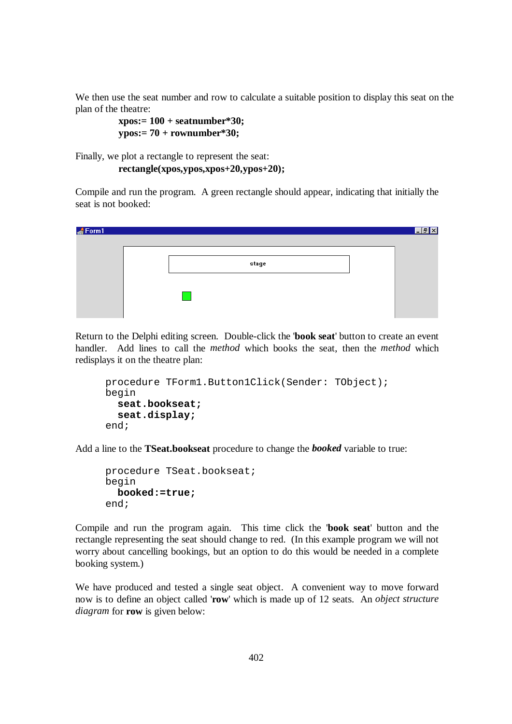We then use the seat number and row to calculate a suitable position to display this seat on the plan of the theatre:

```
 xpos:= 100 + seatnumber*30; 
 ypos:= 70 + rownumber*30;
```
Finally, we plot a rectangle to represent the seat:

```
 rectangle(xpos,ypos,xpos+20,ypos+20);
```
Compile and run the program. A green rectangle should appear, indicating that initially the seat is not booked:

| $\triangle$ Form 1 |       | $\Box B$ $\times$ |
|--------------------|-------|-------------------|
|                    | stage |                   |
|                    |       |                   |
|                    |       |                   |
|                    |       |                   |

Return to the Delphi editing screen. Double-click the '**book seat**' button to create an event handler. Add lines to call the *method* which books the seat, then the *method* which redisplays it on the theatre plan:

```
procedure TForm1.Button1Click(Sender: TObject); 
begin 
   seat.bookseat; 
   seat.display; 
end;
```
Add a line to the **TSeat.bookseat** procedure to change the *booked* variable to true:

```
procedure TSeat.bookseat; 
begin 
   booked:=true; 
end;
```
Compile and run the program again. This time click the '**book seat**' button and the rectangle representing the seat should change to red. (In this example program we will not worry about cancelling bookings, but an option to do this would be needed in a complete booking system.)

We have produced and tested a single seat object. A convenient way to move forward now is to define an object called '**row**' which is made up of 12 seats. An *object structure diagram* for **row** is given below: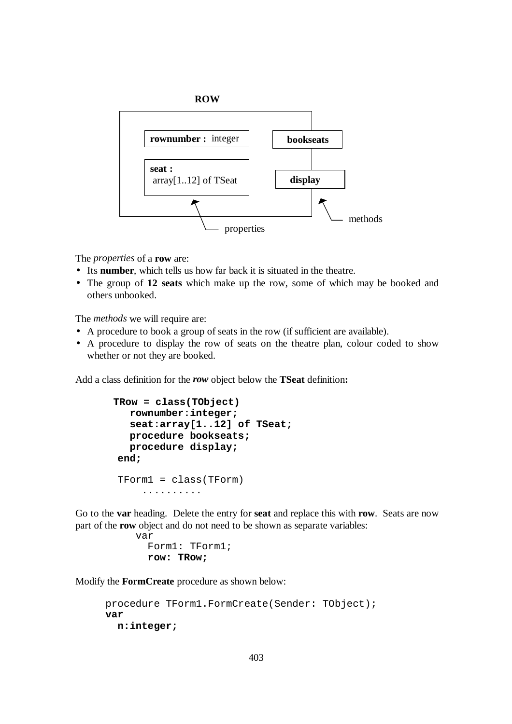

The *properties* of a **row** are:

- Its **number**, which tells us how far back it is situated in the theatre.
- The group of **12 seats** which make up the row, some of which may be booked and others unbooked.

The *methods* we will require are:

- A procedure to book a group of seats in the row (if sufficient are available).
- A procedure to display the row of seats on the theatre plan, colour coded to show whether or not they are booked.

Add a class definition for the *row* object below the **TSeat** definition**:**

```
 TRow = class(TObject) 
   rownumber:integer; 
    seat:array[1..12] of TSeat; 
   procedure bookseats; 
   procedure display; 
 end; 
 TForm1 = class(TForm) 
      ..........
```
Go to the **var** heading. Delete the entry for **seat** and replace this with **row**. Seats are now part of the **row** object and do not need to be shown as separate variables:

```
var 
   Form1: TForm1; 
   row: TRow;
```
Modify the **FormCreate** procedure as shown below:

```
procedure TForm1.FormCreate(Sender: TObject); 
var 
   n:integer;
```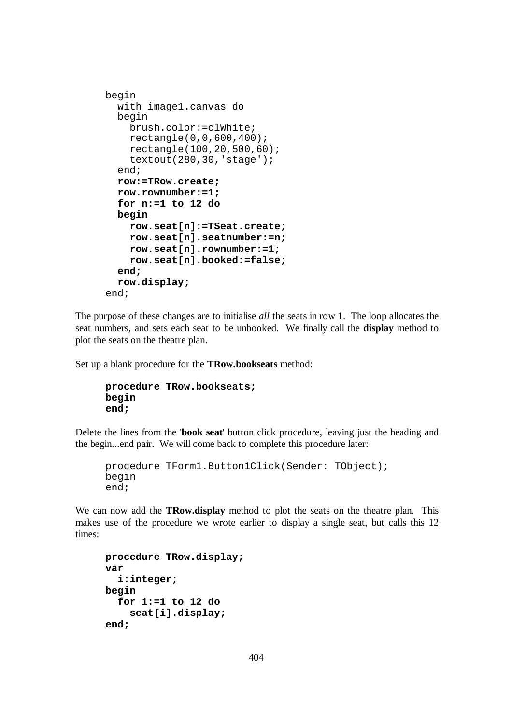```
begin 
   with image1.canvas do 
   begin 
     brush.color:=clWhite; 
     rectangle(0,0,600,400); 
     rectangle(100,20,500,60); 
     textout(280,30,'stage'); 
   end; 
   row:=TRow.create; 
   row.rownumber:=1; 
   for n:=1 to 12 do 
   begin 
     row.seat[n]:=TSeat.create; 
     row.seat[n].seatnumber:=n; 
     row.seat[n].rownumber:=1; 
     row.seat[n].booked:=false; 
   end; 
   row.display; 
end;
```
The purpose of these changes are to initialise *all* the seats in row 1. The loop allocates the seat numbers, and sets each seat to be unbooked. We finally call the **display** method to plot the seats on the theatre plan.

Set up a blank procedure for the **TRow.bookseats** method:

```
procedure TRow.bookseats; 
begin 
end;
```
Delete the lines from the '**book seat**' button click procedure, leaving just the heading and the begin...end pair. We will come back to complete this procedure later:

```
procedure TForm1.Button1Click(Sender: TObject); 
begin 
end;
```
We can now add the **TRow.display** method to plot the seats on the theatre plan. This makes use of the procedure we wrote earlier to display a single seat, but calls this 12 times:

```
procedure TRow.display; 
var 
   i:integer; 
begin 
   for i:=1 to 12 do 
     seat[i].display; 
end;
```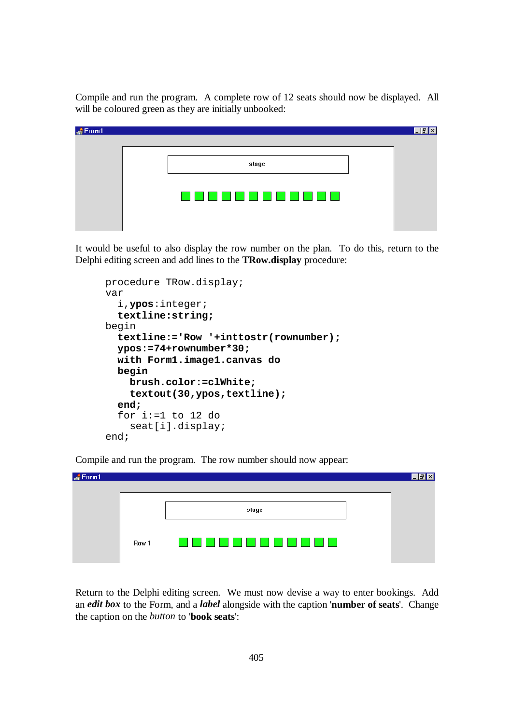Compile and run the program. A complete row of 12 seats should now be displayed. All will be coloured green as they are initially unbooked:

| $\triangle$ Form1 |             | <b>x</b> |
|-------------------|-------------|----------|
|                   | stage       |          |
|                   | 88888888888 |          |
|                   |             |          |

It would be useful to also display the row number on the plan. To do this, return to the Delphi editing screen and add lines to the **TRow.display** procedure:

| procedure TRow.display;               |
|---------------------------------------|
| var                                   |
| i, ypos: integer;                     |
| textline:string;                      |
| begin                                 |
| textline:='Row '+inttostr(rownumber); |
| $ypos:=74+rownumber*30;$              |
| with Form1.image1.canvas do           |
| begin                                 |
| brush.color:=clWhite;                 |
| textout(30, ypos, textline);          |
| end;                                  |
| for i:=1 to 12 do                     |
| seat[i].display;                      |
| end;                                  |

Compile and run the program. The row number should now appear:

| $\triangle$ Form1 |       |           |  |
|-------------------|-------|-----------|--|
|                   |       |           |  |
|                   |       | stage     |  |
|                   |       |           |  |
|                   | Row 1 | <u>. </u> |  |
|                   |       |           |  |

Return to the Delphi editing screen. We must now devise a way to enter bookings. Add an *edit box* to the Form, and a *label* alongside with the caption '**number of seats**'. Change the caption on the *button* to '**book seats**':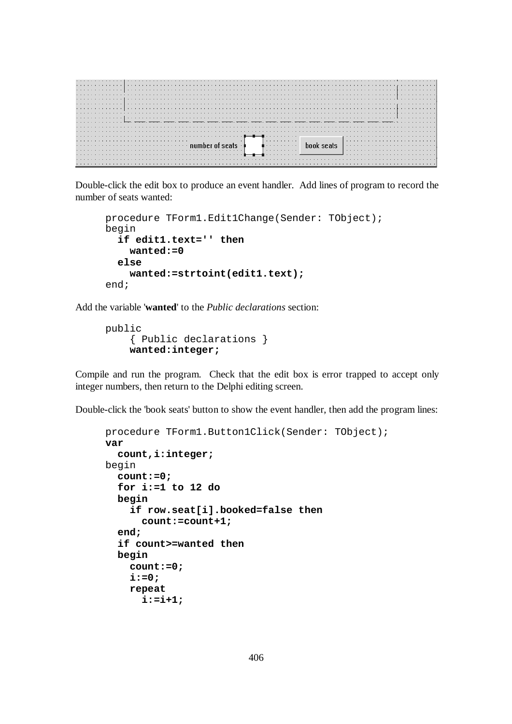|  |  |  |  | . |  |  |  |  |  |  |  |  |  |  |  |  |  |  |   |  |  |   |  |  |  |  |  |  |  |  |  |  |  |  |  |  |
|--|--|--|--|---|--|--|--|--|--|--|--|--|--|--|--|--|--|--|---|--|--|---|--|--|--|--|--|--|--|--|--|--|--|--|--|--|
|  |  |  |  |   |  |  |  |  |  |  |  |  |  |  |  |  |  |  |   |  |  |   |  |  |  |  |  |  |  |  |  |  |  |  |  |  |
|  |  |  |  |   |  |  |  |  |  |  |  |  |  |  |  |  |  |  |   |  |  |   |  |  |  |  |  |  |  |  |  |  |  |  |  |  |
|  |  |  |  |   |  |  |  |  |  |  |  |  |  |  |  |  |  |  |   |  |  |   |  |  |  |  |  |  |  |  |  |  |  |  |  |  |
|  |  |  |  |   |  |  |  |  |  |  |  |  |  |  |  |  |  |  |   |  |  |   |  |  |  |  |  |  |  |  |  |  |  |  |  |  |
|  |  |  |  |   |  |  |  |  |  |  |  |  |  |  |  |  |  |  |   |  |  |   |  |  |  |  |  |  |  |  |  |  |  |  |  |  |
|  |  |  |  |   |  |  |  |  |  |  |  |  |  |  |  |  |  |  |   |  |  |   |  |  |  |  |  |  |  |  |  |  |  |  |  |  |
|  |  |  |  |   |  |  |  |  |  |  |  |  |  |  |  |  |  |  |   |  |  |   |  |  |  |  |  |  |  |  |  |  |  |  |  |  |
|  |  |  |  |   |  |  |  |  |  |  |  |  |  |  |  |  |  |  |   |  |  |   |  |  |  |  |  |  |  |  |  |  |  |  |  |  |
|  |  |  |  |   |  |  |  |  |  |  |  |  |  |  |  |  |  |  |   |  |  |   |  |  |  |  |  |  |  |  |  |  |  |  |  |  |
|  |  |  |  |   |  |  |  |  |  |  |  |  |  |  |  |  |  |  |   |  |  |   |  |  |  |  |  |  |  |  |  |  |  |  |  |  |
|  |  |  |  |   |  |  |  |  |  |  |  |  |  |  |  |  |  |  |   |  |  |   |  |  |  |  |  |  |  |  |  |  |  |  |  |  |
|  |  |  |  |   |  |  |  |  |  |  |  |  |  |  |  |  |  |  |   |  |  |   |  |  |  |  |  |  |  |  |  |  |  |  |  |  |
|  |  |  |  |   |  |  |  |  |  |  |  |  |  |  |  |  |  |  |   |  |  |   |  |  |  |  |  |  |  |  |  |  |  |  |  |  |
|  |  |  |  |   |  |  |  |  |  |  |  |  |  |  |  |  |  |  |   |  |  |   |  |  |  |  |  |  |  |  |  |  |  |  |  |  |
|  |  |  |  |   |  |  |  |  |  |  |  |  |  |  |  |  |  |  |   |  |  | . |  |  |  |  |  |  |  |  |  |  |  |  |  |  |
|  |  |  |  |   |  |  |  |  |  |  |  |  |  |  |  |  |  |  | . |  |  |   |  |  |  |  |  |  |  |  |  |  |  |  |  |  |
|  |  |  |  |   |  |  |  |  |  |  |  |  |  |  |  |  |  |  |   |  |  | . |  |  |  |  |  |  |  |  |  |  |  |  |  |  |
|  |  |  |  |   |  |  |  |  |  |  |  |  |  |  |  |  |  |  |   |  |  |   |  |  |  |  |  |  |  |  |  |  |  |  |  |  |
|  |  |  |  |   |  |  |  |  |  |  |  |  |  |  |  |  |  |  |   |  |  |   |  |  |  |  |  |  |  |  |  |  |  |  |  |  |
|  |  |  |  |   |  |  |  |  |  |  |  |  |  |  |  |  |  |  |   |  |  |   |  |  |  |  |  |  |  |  |  |  |  |  |  |  |
|  |  |  |  |   |  |  |  |  |  |  |  |  |  |  |  |  |  |  |   |  |  |   |  |  |  |  |  |  |  |  |  |  |  |  |  |  |

Double-click the edit box to produce an event handler. Add lines of program to record the number of seats wanted:

```
procedure TForm1.Edit1Change(Sender: TObject); 
begin 
   if edit1.text='' then 
     wanted:=0 
   else 
     wanted:=strtoint(edit1.text); 
end;
```
Add the variable '**wanted**' to the *Public declarations* section:

```
public 
     { Public declarations } 
     wanted:integer;
```
Compile and run the program. Check that the edit box is error trapped to accept only integer numbers, then return to the Delphi editing screen.

Double-click the 'book seats' button to show the event handler, then add the program lines:

```
procedure TForm1.Button1Click(Sender: TObject); 
var 
   count,i:integer; 
begin 
   count:=0; 
   for i:=1 to 12 do 
   begin 
     if row.seat[i].booked=false then 
        count:=count+1; 
   end; 
   if count>=wanted then 
   begin 
     count:=0; 
    i := 0; repeat 
        i:=i+1;
```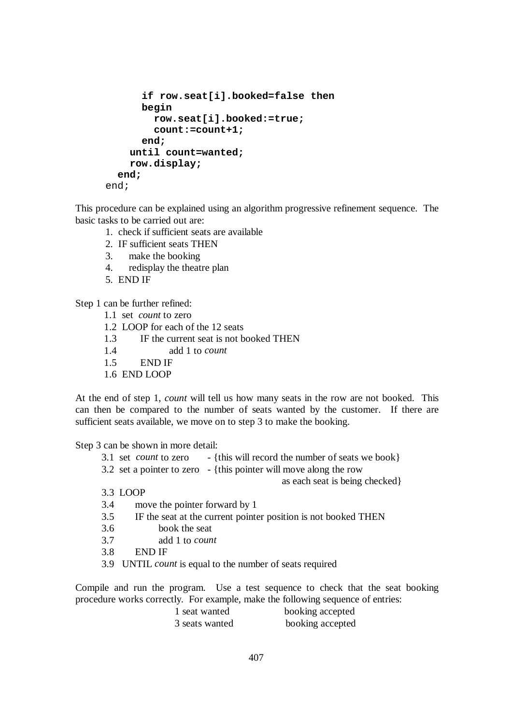```
 if row.seat[i].booked=false then 
        begin 
          row.seat[i].booked:=true; 
          count:=count+1; 
        end; 
     until count=wanted; 
     row.display; 
   end; 
end;
```
This procedure can be explained using an algorithm progressive refinement sequence. The basic tasks to be carried out are:

- 1. check if sufficient seats are available
- 2. IF sufficient seats THEN
- 3. make the booking
- 4. redisplay the theatre plan
- 5. END IF

Step 1 can be further refined:

- 1.1 set *count* to zero
- 1.2 LOOP for each of the 12 seats
- 1.3 IF the current seat is not booked THEN
- 1.4 add 1 to *count*
- 1.5 END IF
- 1.6 END LOOP

At the end of step 1, *count* will tell us how many seats in the row are not booked. This can then be compared to the number of seats wanted by the customer. If there are sufficient seats available, we move on to step 3 to make the booking.

Step 3 can be shown in more detail:

- 3.1 set *count* to zero {this will record the number of seats we book}
- 3.2 set a pointer to zero {this pointer will move along the row

as each seat is being checked}

3.3 LOOP

- 3.4 move the pointer forward by 1
- 3.5 IF the seat at the current pointer position is not booked THEN
- 3.6 book the seat
- 3.7 add 1 to *count*
- 3.8 END IF
- 3.9 UNTIL *count* is equal to the number of seats required

Compile and run the program. Use a test sequence to check that the seat booking procedure works correctly. For example, make the following sequence of entries:

> 1 seat wanted booking accepted 3 seats wanted booking accepted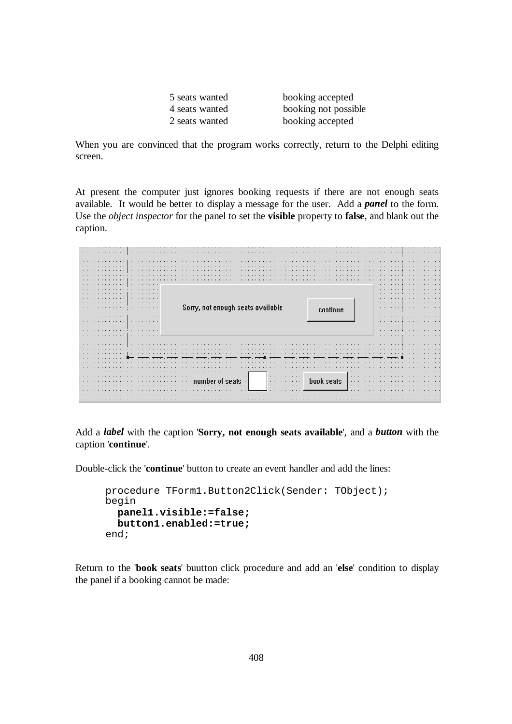|  | 5 seats wanted |
|--|----------------|
|  | 4 seats wanted |
|  | 2 seats wanted |

booking accepted booking not possible booking accepted

When you are convinced that the program works correctly, return to the Delphi editing screen.

At present the computer just ignores booking requests if there are not enough seats available. It would be better to display a message for the user. Add a *panel* to the form. Use the *object inspector* for the panel to set the **visible** property to **false**, and blank out the caption.

|       |                                   |            | ٠            |
|-------|-----------------------------------|------------|--------------|
|       | Sorry, not enough seats available | continue   | $\bullet$    |
|       |                                   |            |              |
|       |                                   |            | ٠            |
|       |                                   |            |              |
|       |                                   |            | $\mathbf{r}$ |
|       |                                   |            |              |
|       |                                   |            |              |
|       |                                   |            |              |
|       |                                   |            |              |
|       |                                   |            |              |
|       |                                   |            |              |
|       |                                   |            |              |
|       |                                   |            |              |
|       |                                   |            |              |
|       |                                   |            |              |
|       |                                   |            |              |
|       |                                   |            |              |
|       | $\sim$ $\sim$<br>$\cdots$         |            |              |
| 19.19 | <b>Service State</b><br>$\cdots$  |            |              |
|       | ts                                | book seats |              |
|       |                                   |            |              |
|       |                                   |            |              |

Add a *label* with the caption '**Sorry, not enough seats available**', and a *button* with the caption '**continue**'.

Double-click the '**continue**' button to create an event handler and add the lines:

```
procedure TForm1.Button2Click(Sender: TObject); 
begin 
   panel1.visible:=false; 
   button1.enabled:=true; 
end;
```
Return to the '**book seats**' buutton click procedure and add an '**else**' condition to display the panel if a booking cannot be made: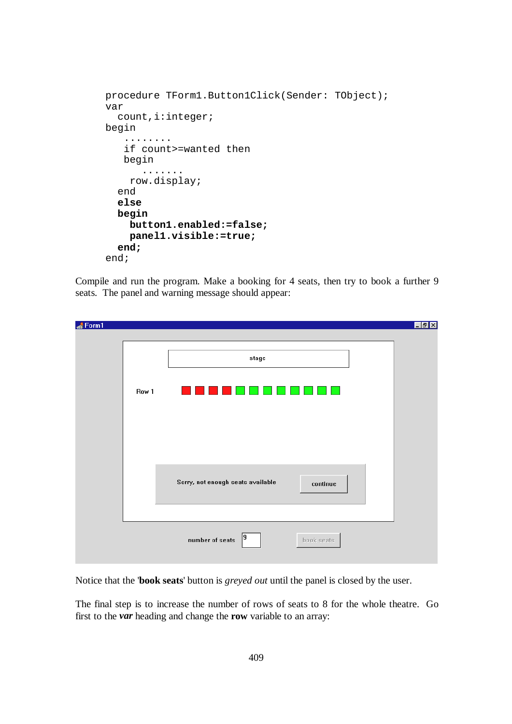```
procedure TForm1.Button1Click(Sender: TObject); 
var 
   count,i:integer; 
begin 
    ........ 
    if count>=wanted then 
    begin 
        ....... 
     row.display; 
   end 
   else 
   begin 
     button1.enabled:=false; 
     panel1.visible:=true; 
   end; 
end;
```
Compile and run the program. Make a booking for 4 seats, then try to book a further 9 seats. The panel and warning message should appear:

| Form1 |       |                                                                   | <b>EBX</b> |
|-------|-------|-------------------------------------------------------------------|------------|
|       |       |                                                                   |            |
|       |       | stage                                                             |            |
|       | Row 1 |                                                                   |            |
|       |       |                                                                   |            |
|       |       |                                                                   |            |
|       |       | Sorry, not enough seats available<br>$\mathop{\mathrm{continue}}$ |            |
|       |       |                                                                   |            |
|       |       | 9<br>number of seats<br>book seats                                |            |

Notice that the '**book seats**' button is *greyed out* until the panel is closed by the user.

The final step is to increase the number of rows of seats to 8 for the whole theatre. Go first to the *var* heading and change the **row** variable to an array: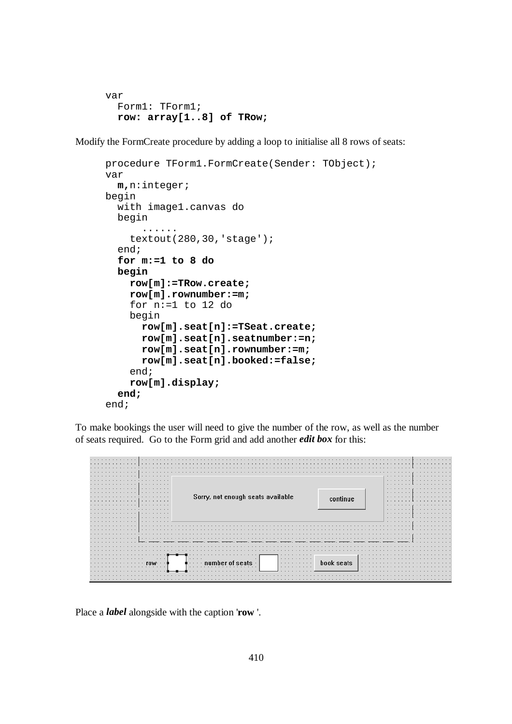```
var 
   Form1: TForm1; 
   row: array[1..8] of TRow;
```
Modify the FormCreate procedure by adding a loop to initialise all 8 rows of seats:

```
procedure TForm1.FormCreate(Sender: TObject); 
var 
   m,n:integer; 
begin 
   with image1.canvas do 
   begin 
 ...... 
     textout(280,30,'stage'); 
   end; 
   for m:=1 to 8 do 
   begin 
     row[m]:=TRow.create; 
     row[m].rownumber:=m; 
     for n:=1 to 12 do 
     begin 
       row[m].seat[n]:=TSeat.create; 
       row[m].seat[n].seatnumber:=n; 
       row[m].seat[n].rownumber:=m; 
       row[m].seat[n].booked:=false; 
     end; 
     row[m].display; 
   end; 
end;
```
To make bookings the user will need to give the number of the row, as well as the number of seats required. Go to the Form grid and add another *edit box* for this:

| $\cdots$<br>.<br>.                    |                                   |              |               |
|---------------------------------------|-----------------------------------|--------------|---------------|
|                                       |                                   |              |               |
|                                       |                                   |              |               |
| .                                     |                                   |              |               |
| .<br>.                                |                                   |              |               |
|                                       |                                   |              | $\cdots$<br>. |
| $\cdots$                              |                                   |              | $\cdots$      |
| $\cdots$<br>$\sim$ $\sim$<br>$\cdots$ |                                   |              | $\cdots$      |
| .<br>.<br>.                           |                                   |              | $\cdots$      |
|                                       | Sorry, not enough seats available |              | <b>ALC</b>    |
|                                       |                                   | continue     | $\cdots$      |
| .<br>$\cdot$ $\cdot$                  |                                   |              | $\cdots$      |
| $\cdot$ $\cdot$<br>.                  |                                   |              | .<br>.        |
| $\cdots$<br>.<br>.                    |                                   |              | .             |
| .<br>.                                |                                   |              | $\cdots$      |
| $\sim$ $\sim$                         |                                   |              |               |
|                                       |                                   |              |               |
|                                       |                                   |              |               |
| $\sim$ $\sim$                         |                                   |              |               |
|                                       |                                   |              |               |
|                                       |                                   |              |               |
|                                       |                                   |              |               |
|                                       |                                   |              |               |
|                                       |                                   |              |               |
|                                       |                                   |              |               |
| $\cdots$                              | $\cdots$<br>$\cdots$<br>.         |              |               |
|                                       | .                                 | book seats   |               |
| $\sim$                                | .<br>$\cdots$                     | $\mathbf{r}$ |               |
|                                       |                                   |              |               |
|                                       |                                   |              |               |
|                                       |                                   |              |               |

Place a *label* alongside with the caption '**row** '.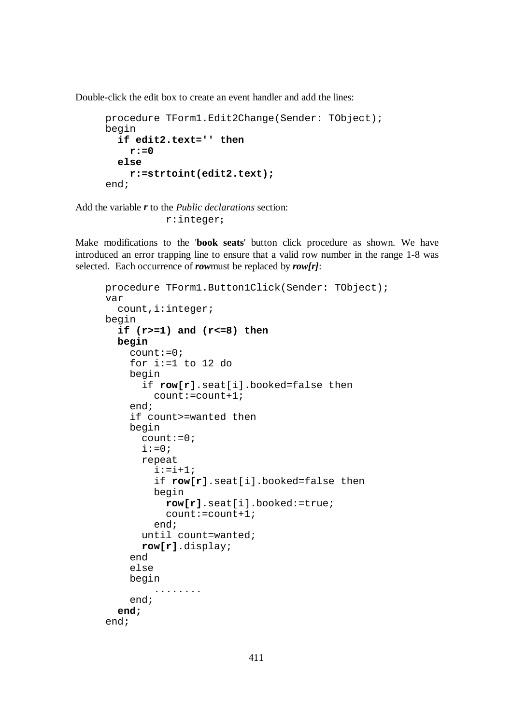Double-click the edit box to create an event handler and add the lines:

```
procedure TForm1.Edit2Change(Sender: TObject); 
begin 
   if edit2.text='' then 
     r:=0 
   else 
     r:=strtoint(edit2.text); 
end;
```
Add the variable *r* to the *Public declarations* section: r:integer**;** 

Make modifications to the '**book seats**' button click procedure as shown. We have introduced an error trapping line to ensure that a valid row number in the range 1-8 was selected. Each occurrence of *row*must be replaced by *row[r]*:

```
procedure TForm1.Button1Click(Sender: TObject); 
var 
   count,i:integer; 
begin 
   if (r>=1) and (r<=8) then 
   begin 
     count:=0; 
     for i:=1 to 12 do 
     begin 
        if row[r].seat[i].booked=false then 
          count:=count+1; 
     end; 
     if count>=wanted then 
     begin 
       count: =0;i := 0; repeat 
         i := i + 1; if row[r].seat[i].booked=false then 
          begin 
            row[r].seat[i].booked:=true; 
            count:=count+1; 
          end; 
        until count=wanted; 
        row[r].display; 
     end 
     else 
     begin 
           ........ 
     end; 
   end; 
end;
```